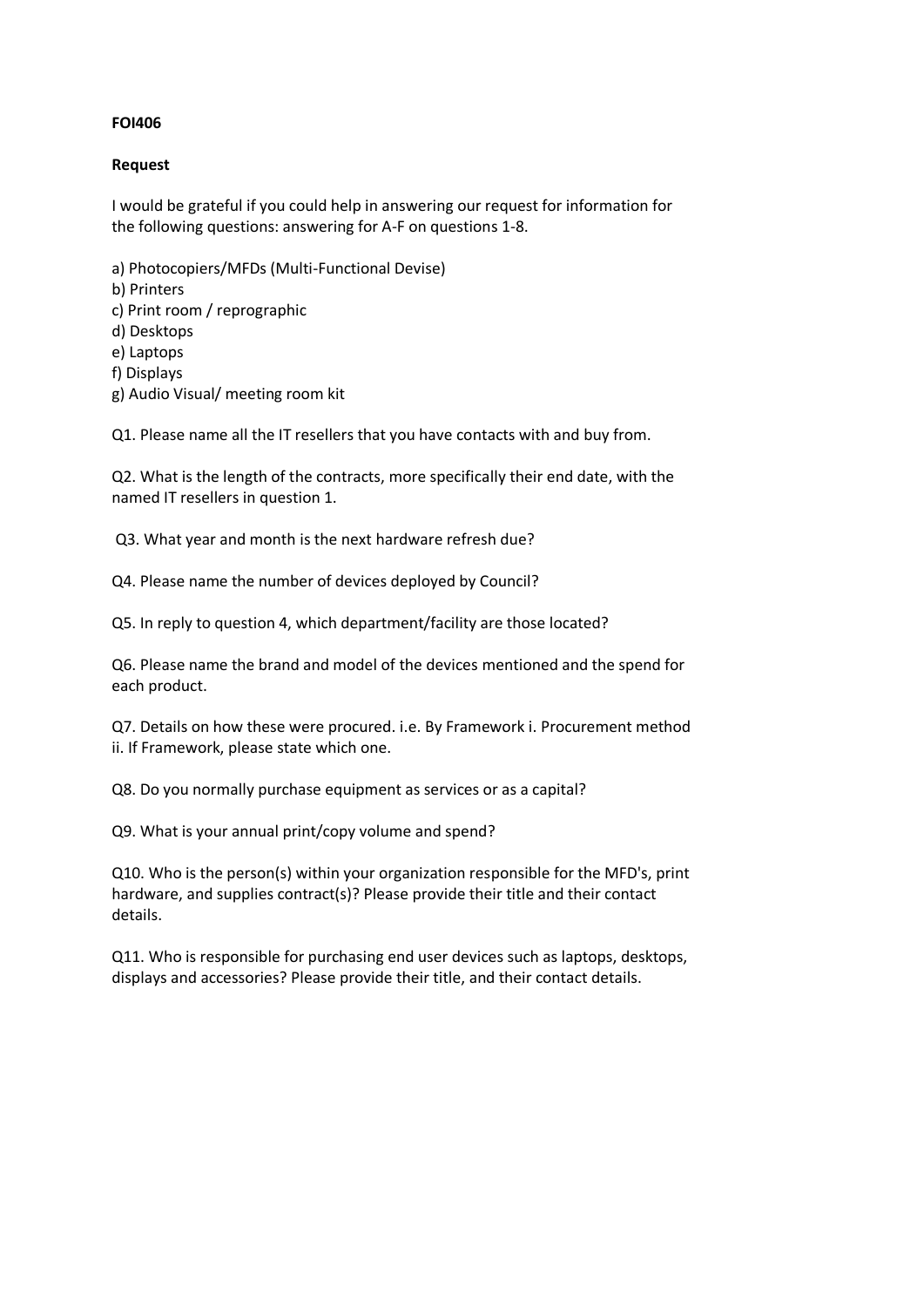#### **FOI406**

#### **Request**

I would be grateful if you could help in answering our request for information for the following questions: answering for A-F on questions 1-8.

a) Photocopiers/MFDs (Multi-Functional Devise) b) Printers c) Print room / reprographic d) Desktops e) Laptops f) Displays g) Audio Visual/ meeting room kit

Q1. Please name all the IT resellers that you have contacts with and buy from.

Q2. What is the length of the contracts, more specifically their end date, with the named IT resellers in question 1.

Q3. What year and month is the next hardware refresh due?

Q4. Please name the number of devices deployed by Council?

Q5. In reply to question 4, which department/facility are those located?

Q6. Please name the brand and model of the devices mentioned and the spend for each product.

Q7. Details on how these were procured. i.e. By Framework i. Procurement method ii. If Framework, please state which one.

Q8. Do you normally purchase equipment as services or as a capital?

Q9. What is your annual print/copy volume and spend?

Q10. Who is the person(s) within your organization responsible for the MFD's, print hardware, and supplies contract(s)? Please provide their title and their contact details.

Q11. Who is responsible for purchasing end user devices such as laptops, desktops, displays and accessories? Please provide their title, and their contact details.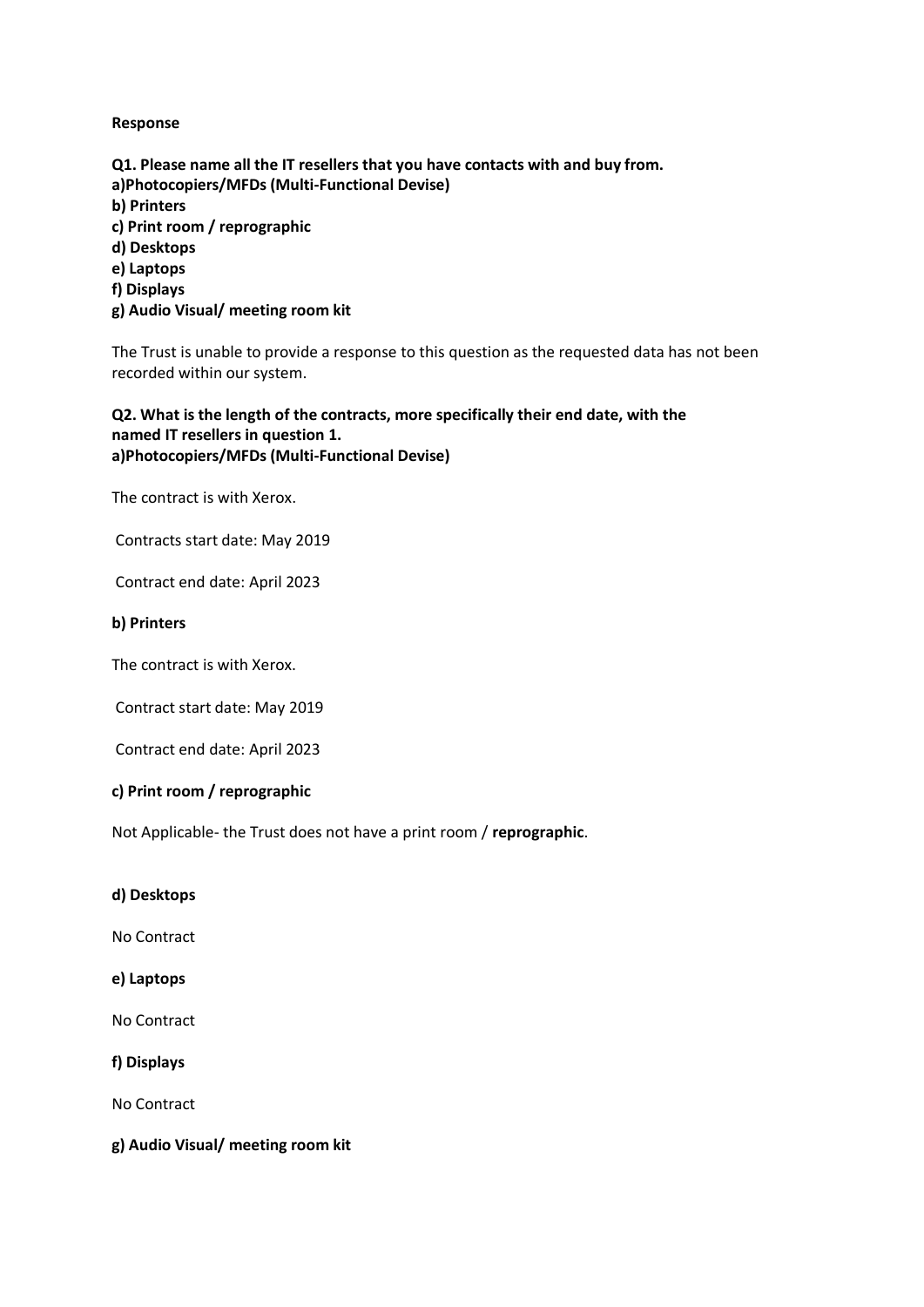#### **Response**

**Q1. Please name all the IT resellers that you have contacts with and buy from. a)Photocopiers/MFDs (Multi-Functional Devise) b) Printers c) Print room / reprographic d) Desktops e) Laptops f) Displays g) Audio Visual/ meeting room kit**

The Trust is unable to provide a response to this question as the requested data has not been recorded within our system.

## **Q2. What is the length of the contracts, more specifically their end date, with the named IT resellers in question 1. a)Photocopiers/MFDs (Multi-Functional Devise)**

The contract is with Xerox.

Contracts start date: May 2019

Contract end date: April 2023

#### **b) Printers**

The contract is with Xerox.

Contract start date: May 2019

Contract end date: April 2023

### **c) Print room / reprographic**

Not Applicable- the Trust does not have a print room / **reprographic**.

**d) Desktops**

No Contract

**e) Laptops**

No Contract

**f) Displays**

No Contract

**g) Audio Visual/ meeting room kit**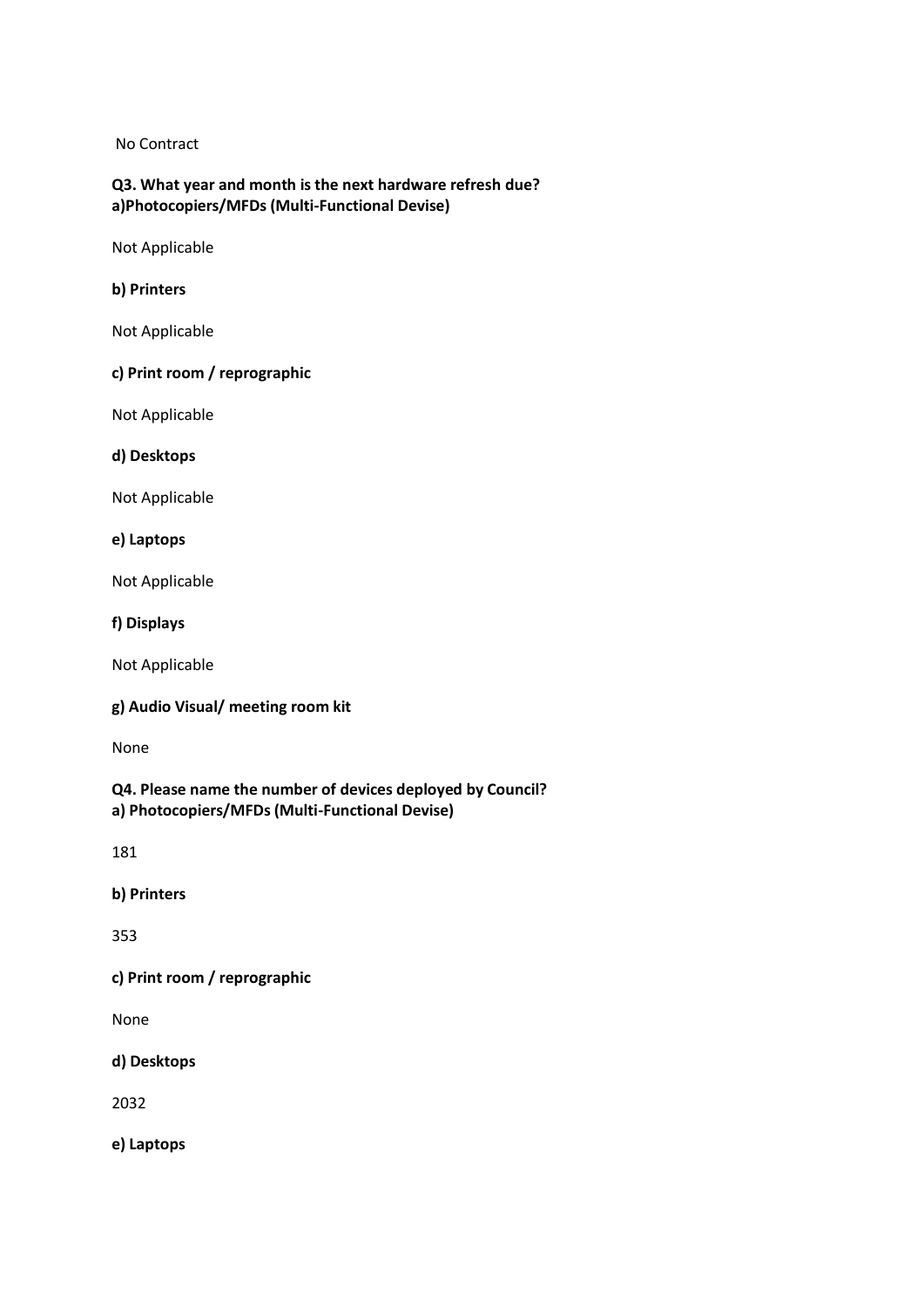No Contract

# **Q3. What year and month is the next hardware refresh due? a)Photocopiers/MFDs (Multi-Functional Devise)**

Not Applicable

#### **b) Printers**

Not Applicable

#### **c) Print room / reprographic**

Not Applicable

**d) Desktops**

Not Applicable

**e) Laptops**

Not Applicable

**f) Displays**

Not Applicable

### **g) Audio Visual/ meeting room kit**

None

**Q4. Please name the number of devices deployed by Council? a) Photocopiers/MFDs (Multi-Functional Devise)**

181

**b) Printers**

353

# **c) Print room / reprographic**

None

**d) Desktops**

2032

**e) Laptops**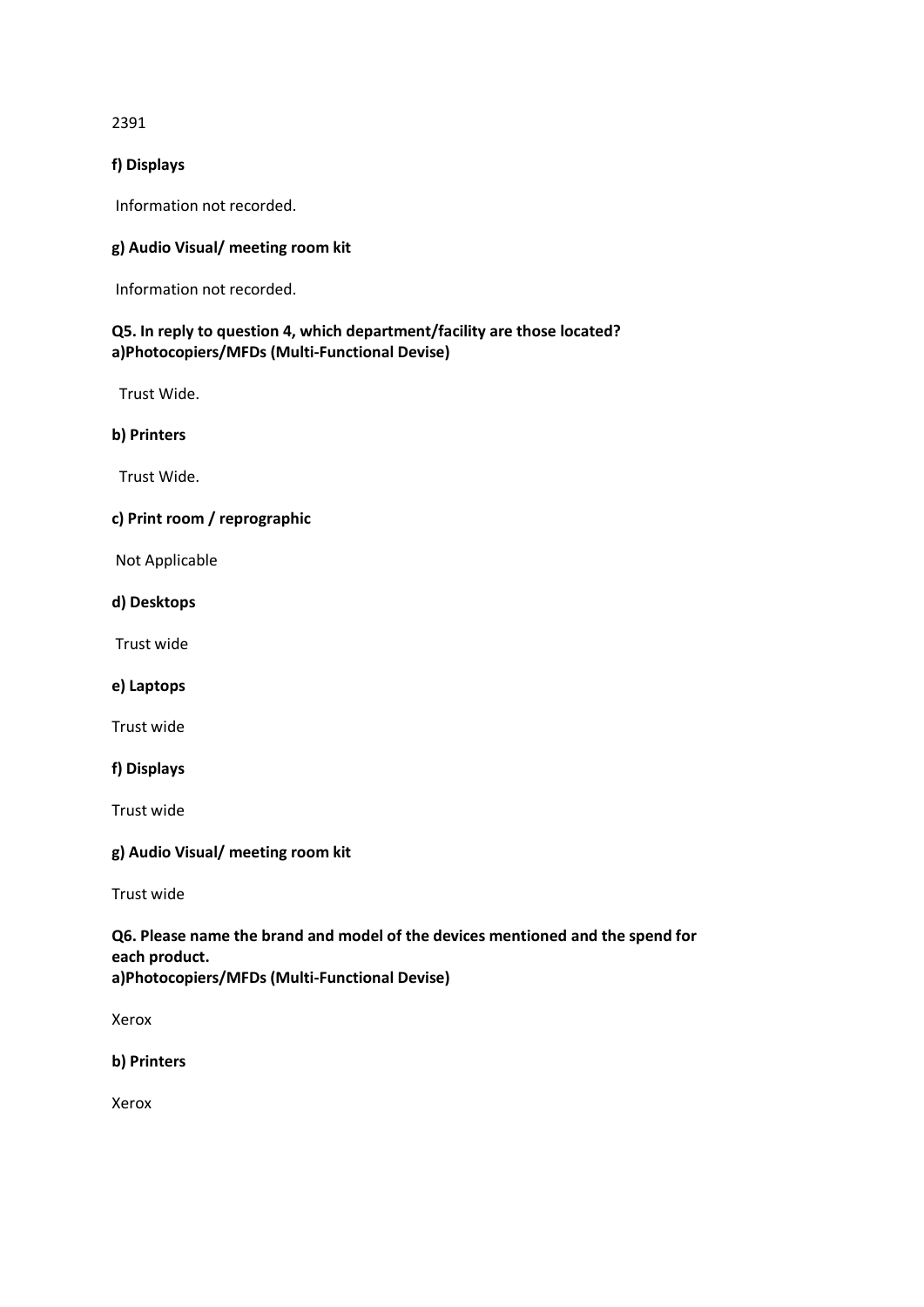2391

### **f) Displays**

Information not recorded.

## **g) Audio Visual/ meeting room kit**

Information not recorded.

# **Q5. In reply to question 4, which department/facility are those located? a)Photocopiers/MFDs (Multi-Functional Devise)**

Trust Wide.

## **b) Printers**

Trust Wide.

# **c) Print room / reprographic**

Not Applicable

**d) Desktops**

Trust wide

**e) Laptops**

Trust wide

**f) Displays**

Trust wide

#### **g) Audio Visual/ meeting room kit**

Trust wide

## **Q6. Please name the brand and model of the devices mentioned and the spend for each product. a)Photocopiers/MFDs (Multi-Functional Devise)**

Xerox

**b) Printers**

Xerox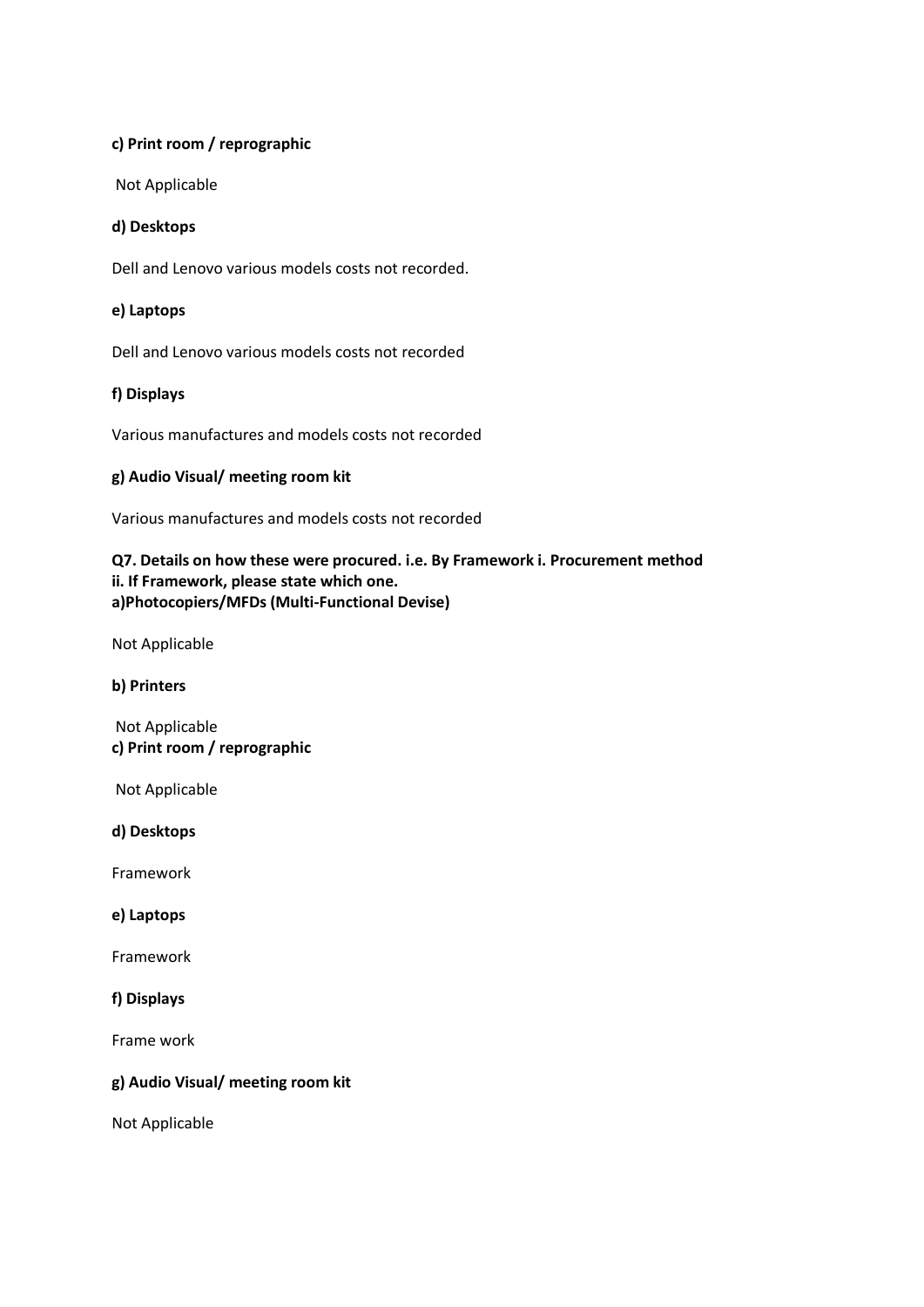## **c) Print room / reprographic**

Not Applicable

## **d) Desktops**

Dell and Lenovo various models costs not recorded.

### **e) Laptops**

Dell and Lenovo various models costs not recorded

## **f) Displays**

Various manufactures and models costs not recorded

## **g) Audio Visual/ meeting room kit**

Various manufactures and models costs not recorded

# **Q7. Details on how these were procured. i.e. By Framework i. Procurement method ii. If Framework, please state which one. a)Photocopiers/MFDs (Multi-Functional Devise)**

Not Applicable

**b) Printers**

Not Applicable **c) Print room / reprographic**

Not Applicable

**d) Desktops**

Framework

**e) Laptops**

Framework

**f) Displays**

Frame work

### **g) Audio Visual/ meeting room kit**

Not Applicable